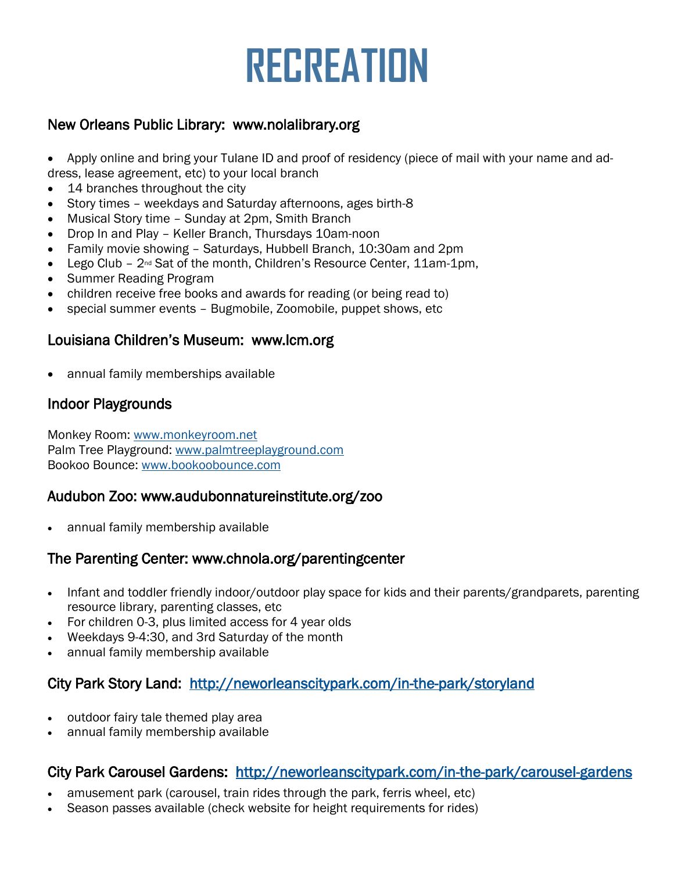# **RECREATION**

## New Orleans Public Library: www.nolalibrary.org

• Apply online and bring your Tulane ID and proof of residency (piece of mail with your name and address, lease agreement, etc) to your local branch

- 14 branches throughout the city
- Story times weekdays and Saturday afternoons, ages birth-8
- Musical Story time Sunday at 2pm, Smith Branch
- Drop In and Play Keller Branch, Thursdays 10am-noon
- Family movie showing Saturdays, Hubbell Branch, 10:30am and 2pm
- Lego Club  $-2^{nd}$  Sat of the month, Children's Resource Center, 11am-1pm,
- Summer Reading Program
- children receive free books and awards for reading (or being read to)
- special summer events Bugmobile, Zoomobile, puppet shows, etc

#### Louisiana Children's Museum: www.lcm.org

• annual family memberships available

## Indoor Playgrounds

Monkey Room: [www.monkeyroom.net](http://www.monkeyroom.net/) Palm Tree Playground: [www.palmtreeplayground.com](http://www.palmtreeplayground.com/) Bookoo Bounce: [www.bookoobounce.com](http://www.bookoobounce.com/)

#### Audubon Zoo: www.audubonnatureinstitute.org/zoo

annual family membership available

#### The Parenting Center: www.chnola.org/parentingcenter

- Infant and toddler friendly indoor/outdoor play space for kids and their parents/grandparets, parenting resource library, parenting classes, etc
- For children 0-3, plus limited access for 4 year olds
- Weekdays 9-4:30, and 3rd Saturday of the month
- annual family membership available

## City Park Story Land: <http://neworleanscitypark.com/in-the-park/storyland>

- outdoor fairy tale themed play area
- annual family membership available

#### City Park Carousel Gardens: <http://neworleanscitypark.com/in-the-park/carousel-gardens>

- amusement park (carousel, train rides through the park, ferris wheel, etc)
- Season passes available (check website for height requirements for rides)